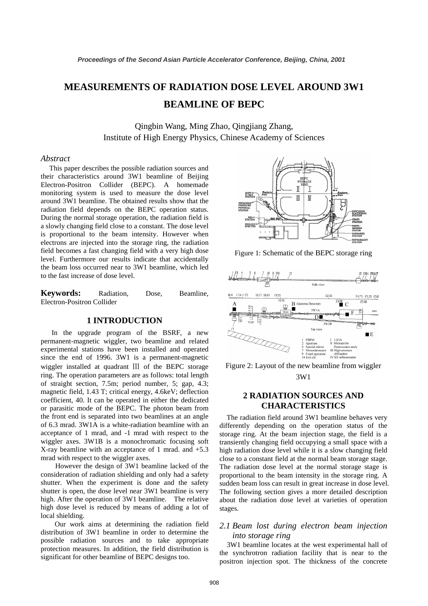# **MEASUREMENTS OF RADIATION DOSE LEVEL AROUND 3W1 BEAMLINE OF BEPC**

Qingbin Wang, Ming Zhao, Qingjiang Zhang, Institute of High Energy Physics, Chinese Academy of Sciences

## *Abstract*

 This paper describes the possible radiation sources and their characteristics around 3W1 beamline of Beijing Electron-Positron Collider (BEPC). A homemade monitoring system is used to measure the dose level around 3W1 beamline. The obtained results show that the radiation field depends on the BEPC operation status. During the normal storage operation, the radiation field is a slowly changing field close to a constant. The dose level is proportional to the beam intensity. However when electrons are injected into the storage ring, the radiation field becomes a fast changing field with a very high dose level. Furthermore our results indicate that accidentally the beam loss occurred near to 3W1 beamline, which led to the fast increase of dose level.

**Keywords:** Radiation, Dose, Beamline, Electron-Positron Collider

## **1 INTRODUCTION**

 In the upgrade program of the BSRF, a new permanent-magnetic wiggler, two beamline and related experimental stations have been installed and operated since the end of 1996. 3W1 is a permanent-magnetic wiggler installed at quadrant Ⅲ of the BEPC storage ring. The operation parameters are as follows: total length of straight section, 7.5m; period number, 5; gap, 4.3; magnetic field, 1.43 T; critical energy, 4.6keV; deflection coefficient, 40. It can be operated in either the dedicated or parasitic mode of the BEPC. The photon beam from the front end is separated into two beamlines at an angle of 6.3 mrad. 3W1A is a white-radiation beamline with an acceptance of 1 mrad, and -1 mrad with respect to the wiggler axes. 3W1B is a monochromatic focusing soft X-ray beamline with an acceptance of 1 mrad. and +5.3 mrad with respect to the wiggler axes.

 However the design of 3W1 beamline lacked of the consideration of radiation shielding and only had a safety shutter. When the experiment is done and the safety shutter is open, the dose level near 3W1 beamline is very high. After the operation of 3W1 beamline. The relative high dose level is reduced by means of adding a lot of local shielding.

Our work aims at determining the radiation field distribution of 3W1 beamline in order to determine the possible radiation sources and to take appropriate protection measures. In addition, the field distribution is significant for other beamline of BEPC designs too.



Figure 1: Schematic of the BEPC storage ring



Figure 2: Layout of the new beamline from wiggler 3W1

# **2 RADIATION SOURCES AND CHARACTERISTICS**

 The radiation field around 3W1 beamline behaves very differently depending on the operation status of the storage ring. At the beam injection stage, the field is a transiently changing field occupying a small space with a high radiation dose level while it is a slow changing field close to a constant field at the normal beam storage stage. The radiation dose level at the normal storage stage is proportional to the beam intensity in the storage ring. A sudden beam loss can result in great increase in dose level. The following section gives a more detailed description about the radiation dose level at varieties of operation stages.

# *2.1 Beam lost during electron beam injection into storage ring*

 3W1 beamline locates at the west experimental hall of the synchrotron radiation facility that is near to the positron injection spot. The thickness of the concrete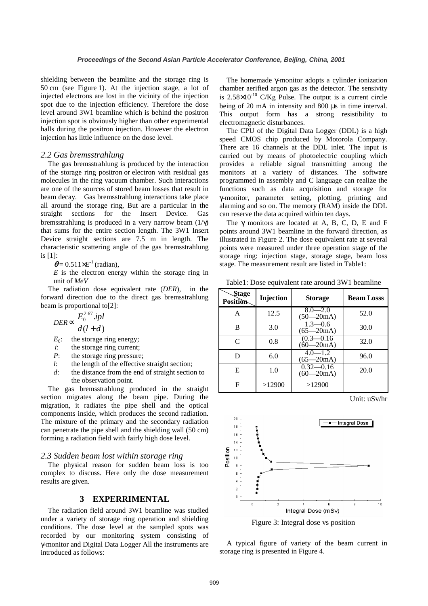shielding between the beamline and the storage ring is 50 cm (see Figure 1). At the injection stage, a lot of injected electrons are lost in the vicinity of the injection spot due to the injection efficiency. Therefore the dose level around 3W1 beamline which is behind the positron injection spot is obviously higher than other experimental halls during the positron injection. However the electron injection has little influence on the dose level.

#### *2.2 Gas bremsstrahlung*

 The gas bremsstrahlung is produced by the interaction of the storage ring positron or electron with residual gas molecules in the ring vacuum chamber. Such interactions are one of the sources of stored beam losses that result in beam decay. Gas bremsstrahlung interactions take place all around the storage ring, But are a particular in the straight sections for the Insert Device. Gas bremsstrahlung is produced in a very narrow beam (1/γ) that sums for the entire section length. The 3W1 Insert Device straight sections are 7.5 m in length. The characteristic scattering angle of the gas bremsstrahlung is [1]:

 $\theta$  = 0.511 $\times$ *E*<sup>-1</sup> (radian),

 $E$  is the electron energy within the storage ring in unit of *MeV* 

The radiation dose equivalent rate (*DER*), in the forward direction due to the direct gas bremsstrahlung beam is proportional to[2]:

$$
DER \propto \frac{E_0^{2.67}.ipl}{d(l+d)}
$$

 $E_0$ : the storage ring energy;

- *i*: the storage ring current;
- *P*: the storage ring pressure;
- *l*: the length of the effective straight section;
- *d*: the distance from the end of straight section to the observation point.

 The gas bremsstrahlung produced in the straight section migrates along the beam pipe. During the migration, it radiates the pipe shell and the optical components inside, which produces the second radiation. The mixture of the primary and the secondary radiation can penetrate the pipe shell and the shielding wall (50 cm) forming a radiation field with fairly high dose level.

#### *2.3 Sudden beam lost within storage ring*

 The physical reason for sudden beam loss is too complex to discuss. Here only the dose measurement results are given.

# **3 EXPERRIMENTAL**

 The radiation field around 3W1 beamline was studied under a variety of storage ring operation and shielding conditions. The dose level at the sampled spots was recorded by our monitoring system consisting of γ-monitor and Digital Data Logger All the instruments are introduced as follows:

 The homemade γ-monitor adopts a cylinder ionization chamber aerified argon gas as the detector. The sensivity is  $2.58 \times 10^{-10}$  C/Kg Pulse. The output is a current circle being of 20 mA in intensity and 800 µs in time interval. This output form has a strong resistibility to electromagnetic disturbances.

 The CPU of the Digital Data Logger (DDL) is a high speed CMOS chip produced by Motorola Company. There are 16 channels at the DDL inlet. The input is carried out by means of photoelectric coupling which provides a reliable signal transmitting among the monitors at a variety of distances. The software programmed in assembly and C language can realize the functions such as data acquisition and storage for γ-monitor, parameter setting, plotting, printing and alarming and so on. The memory (RAM) inside the DDL can reserve the data acquired within ten days.

The  $\gamma$  monitors are located at A, B, C, D, E and F points around 3W1 beamline in the forward direction, as illustrated in Figure 2. The dose equivalent rate at several points were measured under three operation stage of the storage ring: injection stage, storage stage, beam loss stage. The measurement result are listed in Table1:

Table1: Dose equivalent rate around 3W1 beamline

| Stage<br><b>Position</b> | Injection | <b>Storage</b>                 | <b>Beam Losss</b> |
|--------------------------|-----------|--------------------------------|-------------------|
| А                        | 12.5      | $8.0 - 2.0$<br>$(50 - 20m)$    | 52.0              |
| в                        | 3.0       | $1.3 - 0.6$<br>$(65 - 20m)$    | 30.0              |
| $\mathsf{C}$             | 0.8       | $(0.3 - 0.16)$<br>$(60 - 20m)$ | 32.0              |
| D                        | 6.0       | $4.0 - 1.2$<br>$(65 - 20m)$    | 96.0              |
| Е                        | 1.0       | $0.32 - 0.16$<br>$(60 - 20m)$  | 20.0              |
| F                        | >12900    | >12900                         |                   |





Figure 3: Integral dose vs position

A typical figure of variety of the beam current in storage ring is presented in Figure 4.